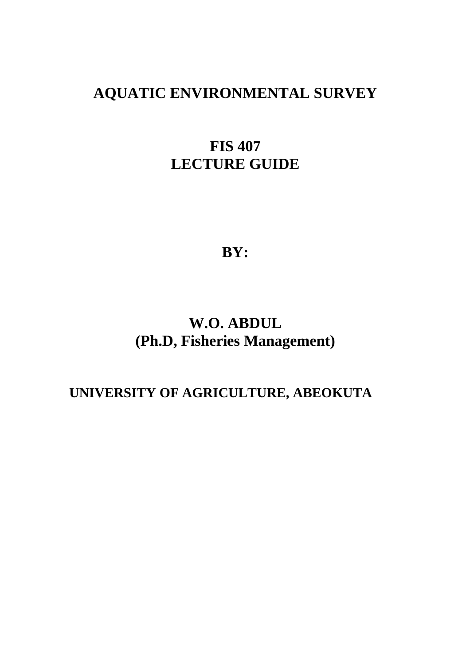## **AQUATIC ENVIRONMENTAL SURVEY**

# **FIS 407 LECTURE GUIDE**

**BY:** 

# **W.O. ABDUL (Ph.D, Fisheries Management)**

## **UNIVERSITY OF AGRICULTURE, ABEOKUTA**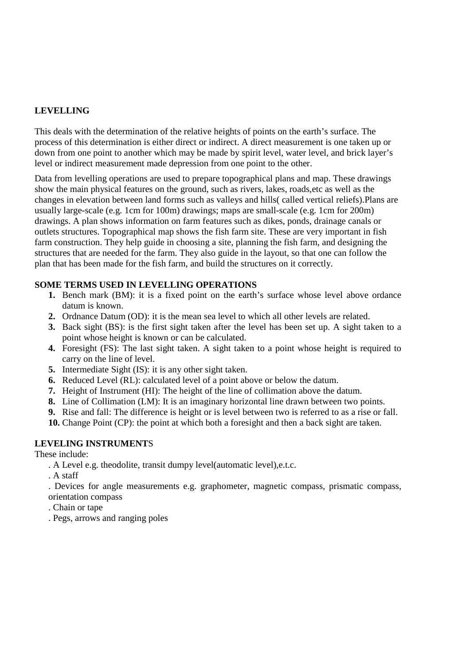## **LEVELLING**

This deals with the determination of the relative heights of points on the earth's surface. The process of this determination is either direct or indirect. A direct measurement is one taken up or down from one point to another which may be made by spirit level, water level, and brick layer's level or indirect measurement made depression from one point to the other.

Data from levelling operations are used to prepare topographical plans and map. These drawings show the main physical features on the ground, such as rivers, lakes, roads,etc as well as the changes in elevation between land forms such as valleys and hills( called vertical reliefs).Plans are usually large-scale (e.g. 1cm for 100m) drawings; maps are small-scale (e.g. 1cm for 200m) drawings. A plan shows information on farm features such as dikes, ponds, drainage canals or outlets structures. Topographical map shows the fish farm site. These are very important in fish farm construction. They help guide in choosing a site, planning the fish farm, and designing the structures that are needed for the farm. They also guide in the layout, so that one can follow the plan that has been made for the fish farm, and build the structures on it correctly.

## **SOME TERMS USED IN LEVELLING OPERATIONS**

- **1.** Bench mark (BM): it is a fixed point on the earth's surface whose level above ordance datum is known.
- **2.** Ordnance Datum (OD): it is the mean sea level to which all other levels are related.
- **3.** Back sight (BS): is the first sight taken after the level has been set up. A sight taken to a point whose height is known or can be calculated.
- **4.** Foresight (FS): The last sight taken. A sight taken to a point whose height is required to carry on the line of level.
- **5.** Intermediate Sight (IS): it is any other sight taken.
- **6.** Reduced Level (RL): calculated level of a point above or below the datum.
- **7.** Height of Instrument (HI): The height of the line of collimation above the datum.
- **8.** Line of Collimation (LM): It is an imaginary horizontal line drawn between two points.
- **9.** Rise and fall: The difference is height or is level between two is referred to as a rise or fall.
- **10.** Change Point (CP): the point at which both a foresight and then a back sight are taken.

#### **LEVELING INSTRUMENT**S

These include:

- . A Level e.g. theodolite, transit dumpy level(automatic level),e.t.c.
- . A staff

. Devices for angle measurements e.g. graphometer, magnetic compass, prismatic compass, orientation compass

- . Chain or tape
- . Pegs, arrows and ranging poles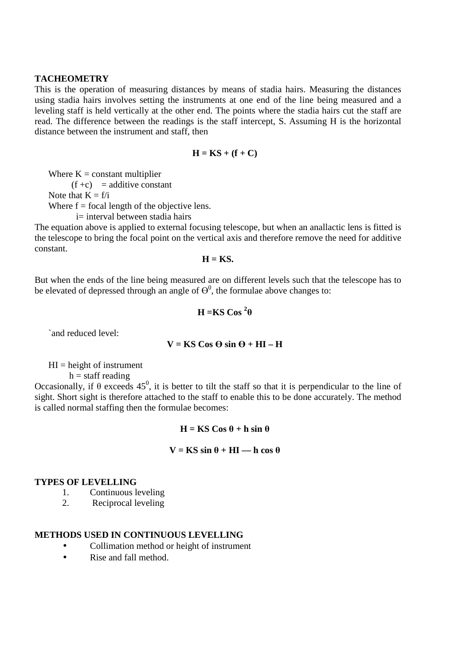#### **TACHEOMETRY**

This is the operation of measuring distances by means of stadia hairs. Measuring the distances using stadia hairs involves setting the instruments at one end of the line being measured and a leveling staff is held vertically at the other end. The points where the stadia hairs cut the staff are read. The difference between the readings is the staff intercept, S. Assuming H is the horizontal distance between the instrument and staff, then

$$
H = KS + (f + C)
$$

Where  $K = constant$  multiplier

 $(f + c)$  = additive constant

Note that  $K = f/i$ 

Where  $f = focal$  length of the objective lens.

i= interval between stadia hairs

The equation above is applied to external focusing telescope, but when an anallactic lens is fitted is the telescope to bring the focal point on the vertical axis and therefore remove the need for additive constant.

$$
H = KS
$$

But when the ends of the line being measured are on different levels such that the telescope has to be elevated of depressed through an angle of  $\theta^0$ , the formulae above changes to:

$$
H = KS
$$
  $\cos^2\theta$ 

`and reduced level:

$$
V = KS \cos \Theta \sin \Theta + HI - H
$$

 $HI = height of instrument$ 

 $h =$  staff reading

Occasionally, if  $\theta$  exceeds 45<sup>0</sup>, it is better to tilt the staff so that it is perpendicular to the line of sight. Short sight is therefore attached to the staff to enable this to be done accurately. The method is called normal staffing then the formulae becomes:

## $H = KS \textbf{Cos} \theta + h \sin \theta$

#### $V = KS \sin \theta + HI$  — h cos  $\theta$

#### **TYPES OF LEVELLING**

- 1. Continuous leveling
- 2. Reciprocal leveling

## **METHODS USED IN CONTINUOUS LEVELLING**

- Collimation method or height of instrument
- Rise and fall method.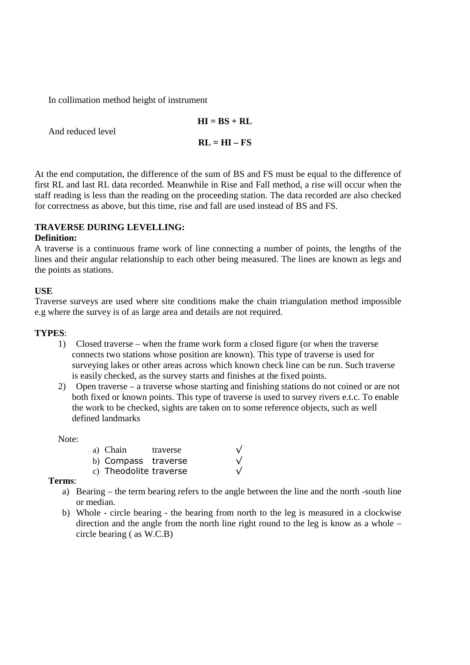In collimation method height of instrument

$$
HI = BS + RL
$$

$$
RL = HI - FS
$$

And reduced level

At the end computation, the difference of the sum of BS and FS must be equal to the difference of first RL and last RL data recorded. Meanwhile in Rise and Fall method, a rise will occur when the staff reading is less than the reading on the proceeding station. The data recorded are also checked for correctness as above, but this time, rise and fall are used instead of BS and FS.

## **TRAVERSE DURING LEVELLING:**

## **Definition:**

A traverse is a continuous frame work of line connecting a number of points, the lengths of the lines and their angular relationship to each other being measured. The lines are known as legs and the points as stations.

## **USE**

Traverse surveys are used where site conditions make the chain triangulation method impossible e.g where the survey is of as large area and details are not required.

## **TYPES**:

- 1) Closed traverse when the frame work form a closed figure (or when the traverse connects two stations whose position are known). This type of traverse is used for surveying lakes or other areas across which known check line can be run. Such traverse is easily checked, as the survey starts and finishes at the fixed points.
- 2) Open traverse a traverse whose starting and finishing stations do not coined or are not both fixed or known points. This type of traverse is used to survey rivers e.t.c. To enable the work to be checked, sights are taken on to some reference objects, such as well defined landmarks

Note:

| a) Chain               | traverse |            |
|------------------------|----------|------------|
| b) Compass traverse    |          | $\sqrt{ }$ |
| c) Theodolite traverse |          | $\sqrt{ }$ |

**Terms**:

- a) Bearing the term bearing refers to the angle between the line and the north -south line or median.
- b) Whole circle bearing the bearing from north to the leg is measured in a clockwise direction and the angle from the north line right round to the leg is know as a whole – circle bearing ( as W.C.B)